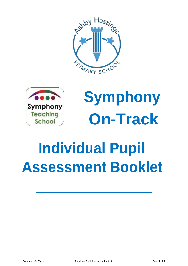



**Symphony On-Track**

# **Individual Pupil Assessment Booklet**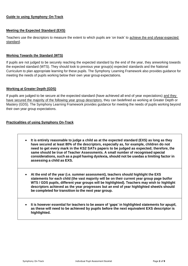### **Guide to using Symphony On-Track**

## **Meeting the Expected Standard (EXS)**

Teachers use the descriptors to measure the extent to which pupils are 'on track' to achieve the end ofyear expected standard.

## **Working Towards the Standard (WTS)**

If pupils are not judged to be securely reaching the expected standard by the end of the year, they areworking towards the expected standard (WTS). They should look to previous year group(s) expected standards and the National Curriculum to plan appropriate learning for these pupils. The Symphony Learning Framework also provides guidance for meeting the needs of pupils working below their own year group expectations.

### **Working at Greater Depth (GDS)**

If pupils are judged to be secure at the expected standard (have achieved all end of year expectations) and they have secured the majority of the following year group descriptors, they can bedefined as working at Greater Depth or Mastery (GDS). The Symphony Learning Framework provides guidance for meeting the needs of pupils working beyond their own year group expectations.

# **Practicalities of using Symphony On-Track**

- **It is entirely reasonable to judge a child as at the expected standard (EXS) as long as they have secured at least 80% of the descriptors, especially as, for example, children do not need to get every mark in the KS2 SATs papers to be judged as expected; therefore, the same should be true of Teacher Assessments. A small number of recognised special considerations, such as a pupil having dyslexia, should not be usedas a limiting factor in assessing a child as EXS.**
- **At the end of the year (i.e. summer assessment), teachers should highlight the EXS statements for each child (the vast majority will be on their current year group page butfor WTS / GDS pupils, different year groups will be highlighted). Teachers may wish to highlight descriptors achieved as the year progresses but an end of year highlighted sheet/s should be completed for transition to the next year group.**
- **It is however essential for teachers to be aware of 'gaps' in highlighted statements for apupil, as these will need to be achieved by pupils before the next equivalent EXS descriptor is highlighted.**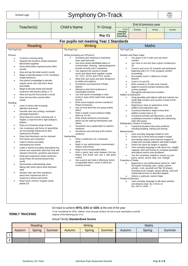# School Logo Symphony On-Track

 $\begin{picture}(20,20) \put(0,0){\line(1,0){10}} \put(0,0){\line(1,0){10}} \put(0,0){\line(1,0){10}} \put(0,0){\line(1,0){10}} \put(0,0){\line(1,0){10}} \put(0,0){\line(1,0){10}} \put(0,0){\line(1,0){10}} \put(0,0){\line(1,0){10}} \put(0,0){\line(1,0){10}} \put(0,0){\line(1,0){10}} \put(0,0){\line(1,0){10}} \put(0,0){\line(1,0){10}} \put(0,$ 

|                                                                                                                                                                                                                                                                                                                                                                                                                                                                                                                                                                                                                                                                                                                                                                                                                                                                                                                                                                                                                                                                                                                                                                                                                                                                                                                                                                                                                                                                                                                                                                                                                                             | <b>Child's Name</b>                                                                                                                                                                                                                                                                                                                                                                                                                                                                                                                                                  |                                                                                                                                                                                                                                                                                                                                                                                                                                                                                                                                                                                                                                                                                                                                                                                                                                                                                                                                                                                                                                                                                                  |                                                                                                                                                                                                                                                                        |                                                                                                                                                                                                                                                                                                                                                      | End of previous year                                                                                                                                                                                                                                                                                                                                                                                                                                                                                                                                                                                                                                                                                                                                                                                                                                                                                                                                                                                                                                                                                                                                                                                                                                                                                                                                                                                                                                                                                                                                                                                                       |               |
|---------------------------------------------------------------------------------------------------------------------------------------------------------------------------------------------------------------------------------------------------------------------------------------------------------------------------------------------------------------------------------------------------------------------------------------------------------------------------------------------------------------------------------------------------------------------------------------------------------------------------------------------------------------------------------------------------------------------------------------------------------------------------------------------------------------------------------------------------------------------------------------------------------------------------------------------------------------------------------------------------------------------------------------------------------------------------------------------------------------------------------------------------------------------------------------------------------------------------------------------------------------------------------------------------------------------------------------------------------------------------------------------------------------------------------------------------------------------------------------------------------------------------------------------------------------------------------------------------------------------------------------------|----------------------------------------------------------------------------------------------------------------------------------------------------------------------------------------------------------------------------------------------------------------------------------------------------------------------------------------------------------------------------------------------------------------------------------------------------------------------------------------------------------------------------------------------------------------------|--------------------------------------------------------------------------------------------------------------------------------------------------------------------------------------------------------------------------------------------------------------------------------------------------------------------------------------------------------------------------------------------------------------------------------------------------------------------------------------------------------------------------------------------------------------------------------------------------------------------------------------------------------------------------------------------------------------------------------------------------------------------------------------------------------------------------------------------------------------------------------------------------------------------------------------------------------------------------------------------------------------------------------------------------------------------------------------------------|------------------------------------------------------------------------------------------------------------------------------------------------------------------------------------------------------------------------------------------------------------------------|------------------------------------------------------------------------------------------------------------------------------------------------------------------------------------------------------------------------------------------------------------------------------------------------------------------------------------------------------|----------------------------------------------------------------------------------------------------------------------------------------------------------------------------------------------------------------------------------------------------------------------------------------------------------------------------------------------------------------------------------------------------------------------------------------------------------------------------------------------------------------------------------------------------------------------------------------------------------------------------------------------------------------------------------------------------------------------------------------------------------------------------------------------------------------------------------------------------------------------------------------------------------------------------------------------------------------------------------------------------------------------------------------------------------------------------------------------------------------------------------------------------------------------------------------------------------------------------------------------------------------------------------------------------------------------------------------------------------------------------------------------------------------------------------------------------------------------------------------------------------------------------------------------------------------------------------------------------------------------------|---------------|
| Teacher(s)                                                                                                                                                                                                                                                                                                                                                                                                                                                                                                                                                                                                                                                                                                                                                                                                                                                                                                                                                                                                                                                                                                                                                                                                                                                                                                                                                                                                                                                                                                                                                                                                                                  |                                                                                                                                                                                                                                                                                                                                                                                                                                                                                                                                                                      | <b>Yr Group</b>                                                                                                                                                                                                                                                                                                                                                                                                                                                                                                                                                                                                                                                                                                                                                                                                                                                                                                                                                                                                                                                                                  | <b>EYFS</b><br>Emerging                                                                                                                                                                                                                                                | Reading                                                                                                                                                                                                                                                                                                                                              | Writing                                                                                                                                                                                                                                                                                                                                                                                                                                                                                                                                                                                                                                                                                                                                                                                                                                                                                                                                                                                                                                                                                                                                                                                                                                                                                                                                                                                                                                                                                                                                                                                                                    | <b>Number</b> |
|                                                                                                                                                                                                                                                                                                                                                                                                                                                                                                                                                                                                                                                                                                                                                                                                                                                                                                                                                                                                                                                                                                                                                                                                                                                                                                                                                                                                                                                                                                                                                                                                                                             |                                                                                                                                                                                                                                                                                                                                                                                                                                                                                                                                                                      | Pre Y1                                                                                                                                                                                                                                                                                                                                                                                                                                                                                                                                                                                                                                                                                                                                                                                                                                                                                                                                                                                                                                                                                           | <b>Expected</b><br><b>Exceeding</b>                                                                                                                                                                                                                                    |                                                                                                                                                                                                                                                                                                                                                      |                                                                                                                                                                                                                                                                                                                                                                                                                                                                                                                                                                                                                                                                                                                                                                                                                                                                                                                                                                                                                                                                                                                                                                                                                                                                                                                                                                                                                                                                                                                                                                                                                            |               |
|                                                                                                                                                                                                                                                                                                                                                                                                                                                                                                                                                                                                                                                                                                                                                                                                                                                                                                                                                                                                                                                                                                                                                                                                                                                                                                                                                                                                                                                                                                                                                                                                                                             | For pupils not meeting Year 1 Standards                                                                                                                                                                                                                                                                                                                                                                                                                                                                                                                              |                                                                                                                                                                                                                                                                                                                                                                                                                                                                                                                                                                                                                                                                                                                                                                                                                                                                                                                                                                                                                                                                                                  |                                                                                                                                                                                                                                                                        |                                                                                                                                                                                                                                                                                                                                                      |                                                                                                                                                                                                                                                                                                                                                                                                                                                                                                                                                                                                                                                                                                                                                                                                                                                                                                                                                                                                                                                                                                                                                                                                                                                                                                                                                                                                                                                                                                                                                                                                                            |               |
| Reading                                                                                                                                                                                                                                                                                                                                                                                                                                                                                                                                                                                                                                                                                                                                                                                                                                                                                                                                                                                                                                                                                                                                                                                                                                                                                                                                                                                                                                                                                                                                                                                                                                     | Writing                                                                                                                                                                                                                                                                                                                                                                                                                                                                                                                                                              |                                                                                                                                                                                                                                                                                                                                                                                                                                                                                                                                                                                                                                                                                                                                                                                                                                                                                                                                                                                                                                                                                                  |                                                                                                                                                                                                                                                                        |                                                                                                                                                                                                                                                                                                                                                      | <b>Maths</b>                                                                                                                                                                                                                                                                                                                                                                                                                                                                                                                                                                                                                                                                                                                                                                                                                                                                                                                                                                                                                                                                                                                                                                                                                                                                                                                                                                                                                                                                                                                                                                                                               |               |
| The Pupil Can<br>Phonics<br>Continue a rhyming string<br>$\bullet$<br>Segment the sounds in simple wordsand<br>$\bullet$<br>blend them together<br>Show which letters represent some ofthe<br>$\bullet$<br>sounds<br>Hear and say the initial sound in words<br>٠<br>Begin to decode phase 2 CVC wordsand<br>$\bullet$<br>simple sentences<br>Use phonic knowledge to decode<br>regular words and read them aloud<br>accurately<br>Begin to decode words and simple<br>sentences with phonics phase 2/3<br>Hear and say the final sounds in words<br>Hear and say other sounds within<br>words<br>Reading<br>Listen to stories with increasing<br>$\bullet$<br>attention and recall<br>Describe main story settings, eventsand<br>principal characters<br>Show that print carries meaning and, in<br>English, is read from left to right andtop to<br>bottom<br>Enjoy an increasing range of books<br>Use vocabulary and forms of speechthat<br>are increasingly influenced by their<br>experiences of books<br>Show that information can be retrieved<br>from books and computers<br>Listen to stories accurately,<br>$\bullet$<br>anticipating key events<br>Listen to stories accurately anticipating key<br>events and respondsto what they hear with<br>relevant comments, questions and actions<br>Read and understand simple sentences<br>using Phase 3/4 phonemesand tricky<br>words<br>Demonstrate understanding when<br>talking with others about what they have<br>read<br>Answer 'how' and 'why' questions<br>about their experiences and in<br>response to stories and events<br>Read some common irregular words<br>phase 2/3 | The Pupil Can<br>Writing (including use of Phonics)<br>$\bullet$<br>draw, paint and write<br>$\bullet$<br>$\bullet$<br>$\bullet$<br>as labels and captions<br>$\bullet$<br>spaces<br>$\bullet$<br>meaningful contexts<br>$\bullet$<br>sounds<br>$\bullet$<br>Phase 2/3 phonics.<br>$\bullet$<br>about<br>$\bullet$<br>adult e.g. It is red<br>$\bullet$<br>others<br>$\bullet$<br>sentence<br>$\bullet$<br>sentence<br>Handwriting<br>$\bullet$<br>hand<br>$\bullet$<br>retrace vertical lines<br>$\bullet$<br>$\bullet$<br>control<br>$\bullet$<br>correctly formed | Sometime give meaning to marksthey<br>Use some clearly identifiable letters to<br>communicate meaning, representingsome<br>sounds correctly and in sequence<br>Can segment the sounds in simple<br>words and blend them together towrite<br>VC, CVC, CCVC and CVCC words<br>Write their own name and other thingssuch<br>Sometimes use awareness of finger<br>Attempt to write short sentences in<br>Use their phonic knowledge to write<br>words in ways which match their spoken<br>Write some irregular common wordsfrom<br>Say out loud what they are going towrite<br>Write a simple 3-word sentence toldby<br>Write simple sentences and phrases<br>which can be read by themselves and<br>Sometimes use a capital letter for startof a<br>Sometimes use a full stop at the endof a<br>Show a preference for a dominant<br>Begin to use anticlockwise movementand<br>Begin to form recognisable letters<br>Hold a pencil near point between first two<br>fingers and thumb and use it with good<br>Use a pencil and holds it effectively toform<br>recognisable letters, some of which are | The Pupil Can<br>$\bullet$<br>$\bullet$<br>$\bullet$<br>$\bullet$<br>$\bullet$<br>$\bullet$<br>$\bullet$<br>$\bullet$<br>$\bullet$<br>$\bullet$<br>$\bullet$<br>$\bullet$<br>$\bullet$<br>Measurement<br>$\bullet$<br>$\bullet$<br>$\bullet$<br>$\bullet$<br>$\bullet$ | Number and Place Value<br>number<br>20<br>(exceeding)<br>beyond<br>Count in 2s and 10s<br>correct symbols<br>Addition & Subtraction<br>the answer<br>addition and subtraction sign<br>addition number facts to 10<br>(add, take away)<br>Multiplication, Division & Fractions<br>Properties of Shape<br>Position & Direction<br>top, next to, under) | Can place 0-20 in order and say which<br>one more or one less than a given numberup to<br>Count to and cross 20, forwards and backwards<br>beginning with 0 or 1 from any given number<br>Accurately count 1:1 objects to 10 and<br>Write numerals to 20 with some reversal.<br>begin to record a number sentence with<br>Recognise odd and even numbers<br>Using quantities and objects add and subtract two<br>single-digit numbers and counton or back to find<br>Beginning to have an awareness of the<br>In practical situations, begin to know their<br>In practical activities and discussion, use the<br>vocabulary involved in adding and subtracting<br>In practical situations they solve problems,<br>including doubling, halving and sharing<br>Uses everyday language related to time<br>Orders two or three items by length or height<br>Uses familiar objects and common shapes to<br>create and recreate patterns and build models<br>Orders two items by weight or capacity<br>Uses everyday language to talk about size, weight,<br>capacity, time and money to compare quantities<br>and objects and to solve problems<br>Use the vocabulary related to money e.g.coin,<br>penny, pence, pound, total, cost, change<br>Beginning to use mathematical names for 'solid'<br>3D shapes (including cube, cuboid, sphere,<br>cylinder, cone, pyramid) and 'flat' 2D shapes<br>(including circle, triangle, square, oblong, oval) and<br>mathematical terms to describe shapes<br>Selects a particular named shape<br>Uses everyday language to talk about position<br>and distance (near, far, in front, on |               |

#### On track to achieve **WTS, EXS or GDS** at the end of the year

To be considered for GDS, children must securely achieve all end of year expectations and the majority of the following year (Yr1)

### **TERMLY TRACKING**

#### Actual Termly **Standardised Scores**

| Reading |        |        | Writing |               |               | <b>Maths</b> |        |        |
|---------|--------|--------|---------|---------------|---------------|--------------|--------|--------|
| Autumn  | Spring | Summer | Autumn  | <b>Spring</b> | <b>Summer</b> | Autumn       | Spring | Summer |
|         |        |        |         |               |               |              |        |        |
|         |        |        |         |               |               |              |        |        |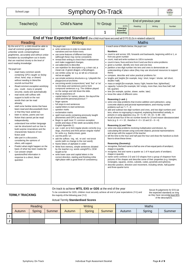# School Logo | Symphony On-Track

|                                                                                                                                                                                                                                                                                                                                                                                                                                                                                                                                                                                                                                                                                                                                                                                                                                                                                                                                                                                                                                                                                                                                                                                                                                                                                                                                                                                                                             | <b>Child's Name</b>                                                                                                                                                                                                                                                                                                                                                                                                                                                                                                                                                                                                                                                                                                                                                                                                                                                                                                                                                                                                                                                                                                                                                                                                                                                                                                                                                                                                                                                                                                                                                                                                                                                                                                                                                                                                                                         | <b>Yr Group</b> |                                                             | End of previous year                                                                                                                                                                                                                                                          |                                                                                                                                                                                                                                                                                                                                                                                               |                                                                                                                                                                                                                                                                                                                                                                                                                                                                                                                                                                                                                                                                                                                                                                                                                                                                                                                                                                                                                                                                                                                                                                                                                                                                                                                                                                                                                                                                                                                                                                                                                                                                                                                                                             |        |
|-----------------------------------------------------------------------------------------------------------------------------------------------------------------------------------------------------------------------------------------------------------------------------------------------------------------------------------------------------------------------------------------------------------------------------------------------------------------------------------------------------------------------------------------------------------------------------------------------------------------------------------------------------------------------------------------------------------------------------------------------------------------------------------------------------------------------------------------------------------------------------------------------------------------------------------------------------------------------------------------------------------------------------------------------------------------------------------------------------------------------------------------------------------------------------------------------------------------------------------------------------------------------------------------------------------------------------------------------------------------------------------------------------------------------------|-------------------------------------------------------------------------------------------------------------------------------------------------------------------------------------------------------------------------------------------------------------------------------------------------------------------------------------------------------------------------------------------------------------------------------------------------------------------------------------------------------------------------------------------------------------------------------------------------------------------------------------------------------------------------------------------------------------------------------------------------------------------------------------------------------------------------------------------------------------------------------------------------------------------------------------------------------------------------------------------------------------------------------------------------------------------------------------------------------------------------------------------------------------------------------------------------------------------------------------------------------------------------------------------------------------------------------------------------------------------------------------------------------------------------------------------------------------------------------------------------------------------------------------------------------------------------------------------------------------------------------------------------------------------------------------------------------------------------------------------------------------------------------------------------------------------------------------------------------------|-----------------|-------------------------------------------------------------|-------------------------------------------------------------------------------------------------------------------------------------------------------------------------------------------------------------------------------------------------------------------------------|-----------------------------------------------------------------------------------------------------------------------------------------------------------------------------------------------------------------------------------------------------------------------------------------------------------------------------------------------------------------------------------------------|-------------------------------------------------------------------------------------------------------------------------------------------------------------------------------------------------------------------------------------------------------------------------------------------------------------------------------------------------------------------------------------------------------------------------------------------------------------------------------------------------------------------------------------------------------------------------------------------------------------------------------------------------------------------------------------------------------------------------------------------------------------------------------------------------------------------------------------------------------------------------------------------------------------------------------------------------------------------------------------------------------------------------------------------------------------------------------------------------------------------------------------------------------------------------------------------------------------------------------------------------------------------------------------------------------------------------------------------------------------------------------------------------------------------------------------------------------------------------------------------------------------------------------------------------------------------------------------------------------------------------------------------------------------------------------------------------------------------------------------------------------------|--------|
| Teacher(s)                                                                                                                                                                                                                                                                                                                                                                                                                                                                                                                                                                                                                                                                                                                                                                                                                                                                                                                                                                                                                                                                                                                                                                                                                                                                                                                                                                                                                  |                                                                                                                                                                                                                                                                                                                                                                                                                                                                                                                                                                                                                                                                                                                                                                                                                                                                                                                                                                                                                                                                                                                                                                                                                                                                                                                                                                                                                                                                                                                                                                                                                                                                                                                                                                                                                                                             |                 |                                                             | <b>EYFS</b><br>Emerging                                                                                                                                                                                                                                                       | Reading                                                                                                                                                                                                                                                                                                                                                                                       | Writing                                                                                                                                                                                                                                                                                                                                                                                                                                                                                                                                                                                                                                                                                                                                                                                                                                                                                                                                                                                                                                                                                                                                                                                                                                                                                                                                                                                                                                                                                                                                                                                                                                                                                                                                                     | Number |
|                                                                                                                                                                                                                                                                                                                                                                                                                                                                                                                                                                                                                                                                                                                                                                                                                                                                                                                                                                                                                                                                                                                                                                                                                                                                                                                                                                                                                             |                                                                                                                                                                                                                                                                                                                                                                                                                                                                                                                                                                                                                                                                                                                                                                                                                                                                                                                                                                                                                                                                                                                                                                                                                                                                                                                                                                                                                                                                                                                                                                                                                                                                                                                                                                                                                                                             |                 | 1                                                           | <b>Expected</b><br><b>Exceeding</b>                                                                                                                                                                                                                                           |                                                                                                                                                                                                                                                                                                                                                                                               |                                                                                                                                                                                                                                                                                                                                                                                                                                                                                                                                                                                                                                                                                                                                                                                                                                                                                                                                                                                                                                                                                                                                                                                                                                                                                                                                                                                                                                                                                                                                                                                                                                                                                                                                                             |        |
|                                                                                                                                                                                                                                                                                                                                                                                                                                                                                                                                                                                                                                                                                                                                                                                                                                                                                                                                                                                                                                                                                                                                                                                                                                                                                                                                                                                                                             | End of Year Expected Standard (the child must have secured all EYFS ELGs in related subjects)                                                                                                                                                                                                                                                                                                                                                                                                                                                                                                                                                                                                                                                                                                                                                                                                                                                                                                                                                                                                                                                                                                                                                                                                                                                                                                                                                                                                                                                                                                                                                                                                                                                                                                                                                               |                 |                                                             |                                                                                                                                                                                                                                                                               |                                                                                                                                                                                                                                                                                                                                                                                               |                                                                                                                                                                                                                                                                                                                                                                                                                                                                                                                                                                                                                                                                                                                                                                                                                                                                                                                                                                                                                                                                                                                                                                                                                                                                                                                                                                                                                                                                                                                                                                                                                                                                                                                                                             |        |
| Reading                                                                                                                                                                                                                                                                                                                                                                                                                                                                                                                                                                                                                                                                                                                                                                                                                                                                                                                                                                                                                                                                                                                                                                                                                                                                                                                                                                                                                     | Writing                                                                                                                                                                                                                                                                                                                                                                                                                                                                                                                                                                                                                                                                                                                                                                                                                                                                                                                                                                                                                                                                                                                                                                                                                                                                                                                                                                                                                                                                                                                                                                                                                                                                                                                                                                                                                                                     |                 |                                                             |                                                                                                                                                                                                                                                                               | <b>Maths</b>                                                                                                                                                                                                                                                                                                                                                                                  |                                                                                                                                                                                                                                                                                                                                                                                                                                                                                                                                                                                                                                                                                                                                                                                                                                                                                                                                                                                                                                                                                                                                                                                                                                                                                                                                                                                                                                                                                                                                                                                                                                                                                                                                                             |        |
| By the end of Y1, a child should be able to<br>read all common graphemesand read<br>unfamiliar words containingthese<br>graphemes, accurately and without undue<br>hesitation by soundingthem out in books<br>that are matched closely to the level of<br>word reading knowledge<br>The pupil can:<br>read many common words<br>containing GPCs taught so far(eg<br>shout, hand, stop, or dream)<br>without needing to blend the<br>sounds out loud first<br>Read common exception words(eg<br>$\bullet$<br>you, could, many or people)<br>securely, easily and automatically<br>read words with suffixes with<br>$\bullet$<br>support to build on the root<br>words that can be read<br>already;<br>retell some familiar stories that have<br>$\bullet$<br>been read and discussed with them<br>or that they have acted out;<br>listen to stories, poems and non-<br>$\bullet$<br>fiction that cannot yet be read<br>independently;<br>understand how written language<br>$\bullet$<br>can be structured such as how to<br>build surprise innarratives and the<br>characteristic features of non-<br>fiction; and<br>take part in a discussion,<br>$\bullet$<br>considering the opinions of<br>others, with support.<br>Predict what might happen on the<br>$\bullet$<br>basis of what has been readso far<br>Can answer simple<br>$\bullet$<br>questions/find information in<br>response to a direct, literal<br>question | The pupil can:<br>• write sentences in order to create short<br>narratives and non-fiction texts.<br>• use some features of different text types<br>(although these may not be consistent).<br>• reread their writing to check that it makessense<br>and make suggested changes.<br>• use adjectives to describe.<br>• use repetition for description e.g. a lean cat, a<br>mean cat. A green dragon, a fierydragon.<br>• use similes using 'as' e.g. as tall as a house, as<br>red as an apple.<br>• use simple sentence structures e.g. I played in the<br>playground at lunchtime.<br>• use joining words (conjunctions) 'and, 'but' or 'so'<br>to link ideas and sentences and to form<br>compound sentences e.g. The children played<br>on the swings and slid down the slide.<br>• Has an awareness of:<br>o capital letters for names, places, the days of the<br>week and the personal pronoun 'l'<br>$\circ$ finger spaces<br>o full stops to end sentences<br>o capital letters to start sentences<br>o question marks<br>o exclamation marks<br>• spell most words containing previously taught<br>phonemes and GPCs accurately.<br>• Begin to spell most Y1 common exception<br>words and days of the week accurately (from<br>English Appendix 1).<br>• use -s and -es to form regular plurals correctly (e.g.<br>dogs, churches) and third person singular marker<br>for verbs e.g. thanks, mixes, goes<br>• use the prefix 'un'.<br>• add the suffixes -ing, -ed, -er and -est toroot<br>words (with no change to the root word).<br>• Name letters of alphabet in order<br>• Write from memory, simple sentences dictated<br>by the teacher e.g. words usingGPCs, CEW<br>taught so far<br>• write lower case and capital letters in the<br>correct direction, starting and finishing inthe<br>right place with a good level of consistency. |                 | <b>Numbers</b><br>them)<br>double / half]<br>full, quarter] | from any given number<br>• know the value of different coins<br>Reasoning (+ and -)<br>problems such as $7 = ? - 9$<br>Reasoning (x) and Time<br>face to show these times<br><b>Reasoning (Geometry)</b><br>shape or quantity<br>shape or quantity<br>and three-quarter turns | In each area of Maths below, the pupil can:<br>• count, read and write numbers to 100 in numerals<br>• given a number, identify one more and one less<br>• compare, describe and solve practical problems for:<br>• time [for example, quicker, slower, earlier, later]<br>facts (e.g. $6 + 4 = 10$ , therefore $4 + 6 = 10$ and $10 - 6 = 4$ )<br>and arrays with the support of the teacher | • count to and across 100, forwards and backwards, beginning with 0 or 1, or<br>• count in twos, fives and tens from 0 and use this to solve problems<br>• partition a two-digit number into tens and ones to demonstrate an<br>understanding of place value (they may use structured resources to support<br>• lengths and heights [for example, long / short, longer / shorter, tall /short,<br>• mass or weight [for example, heavy / light, heavier than, lighterthan]<br>• capacity / volume [for example, full / empty, more than, less than, half, half<br>• solve one-step problems that involve addition and subtraction, using<br>concrete objects and pictorial representations, and missing number<br>• add and subtract two-digit numbers and ones, and two-digit numbers and<br>tens, where no regrouping is required, explaining theirmethod verbally, in<br>pictures or using apparatus (e.g. $23 + 5$ ; $46 + 20$ ; $16 - 5$ ; $88 - 30$ )<br>• recall at least four of the six number bonds for 10 and reason aboutassociated<br>• solve one-step problems involving multiplication and division, by<br>calculating the answer using concrete objects, pictorial representations<br>• tell the time to the hour and half past the hour and draw the handson a clock<br>• recognise, find and name a half as one of two equal parts of anobject,<br>• recognise, find and name a quarter as 1 of 4 equal parts of anobject,<br>• name some common 2-D and 3-D shapes from a group of shapesor from<br>pictures of the shapes and describe some of their properties (e.g. triangles,<br>rectangles, squares, circles, cuboids, cubes, pyramids and spheres).<br>• describe position, direction and movement, including whole, half, quarter |        |

#### On track to achieve **WTS, EXS or GDS** at the end of the year

#### **TERMLY TRACKING**

To be considered for GDS, children must securely achieve all end of year expectations (Yr1) and the majority of the following year (Yr2)

Secure fit judgements for EXS (at the expected standard) as long<br>as they have securedat least 80% of the descriptors.

#### Actual Termly **Standardised Scores**

| Reading                    |  |        | <b>Writing</b> |               |        | <b>Maths</b> |        |  |
|----------------------------|--|--------|----------------|---------------|--------|--------------|--------|--|
| Spring<br>Summer<br>Autumn |  | Autumn | <b>Spring</b>  | <b>Summer</b> | Autumn | Spring       | Summer |  |
|                            |  |        |                |               |        |              |        |  |
|                            |  |        |                |               |        |              |        |  |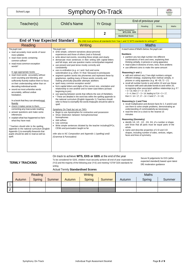| School Logo |  |
|-------------|--|
|-------------|--|

# Symphony On-Track

|  | × |  |  |
|--|---|--|--|
|  |   |  |  |
|  |   |  |  |

|                                                                                                                                                                                                                                                                                                                                                                                                                                                                                                                                                                                                                                                                                                                                                                                                                                                                                                                               |                                                                                                                                                                                                                                                                                                                                                                                                                                                                                                                                                                                                                                                                                                                                                                                                                                                                                                                                                                                                                                                                                                                                                                                                                                                                                                                                                                                                                                                                                                                                                                                                                                                |                                                                                       |                                                                                                                                                                                                                             | End of previous year                                                                                                                                                            |                                                                                                                                                                                                                                                                                                                                                                                                                                                                                                                                                                                                                                                                                                                                                                                                                                                                                                                                                                                                                                                                    |              |
|-------------------------------------------------------------------------------------------------------------------------------------------------------------------------------------------------------------------------------------------------------------------------------------------------------------------------------------------------------------------------------------------------------------------------------------------------------------------------------------------------------------------------------------------------------------------------------------------------------------------------------------------------------------------------------------------------------------------------------------------------------------------------------------------------------------------------------------------------------------------------------------------------------------------------------|------------------------------------------------------------------------------------------------------------------------------------------------------------------------------------------------------------------------------------------------------------------------------------------------------------------------------------------------------------------------------------------------------------------------------------------------------------------------------------------------------------------------------------------------------------------------------------------------------------------------------------------------------------------------------------------------------------------------------------------------------------------------------------------------------------------------------------------------------------------------------------------------------------------------------------------------------------------------------------------------------------------------------------------------------------------------------------------------------------------------------------------------------------------------------------------------------------------------------------------------------------------------------------------------------------------------------------------------------------------------------------------------------------------------------------------------------------------------------------------------------------------------------------------------------------------------------------------------------------------------------------------------|---------------------------------------------------------------------------------------|-----------------------------------------------------------------------------------------------------------------------------------------------------------------------------------------------------------------------------|---------------------------------------------------------------------------------------------------------------------------------------------------------------------------------|--------------------------------------------------------------------------------------------------------------------------------------------------------------------------------------------------------------------------------------------------------------------------------------------------------------------------------------------------------------------------------------------------------------------------------------------------------------------------------------------------------------------------------------------------------------------------------------------------------------------------------------------------------------------------------------------------------------------------------------------------------------------------------------------------------------------------------------------------------------------------------------------------------------------------------------------------------------------------------------------------------------------------------------------------------------------|--------------|
| Teacher(s)                                                                                                                                                                                                                                                                                                                                                                                                                                                                                                                                                                                                                                                                                                                                                                                                                                                                                                                    | <b>Child's Name</b>                                                                                                                                                                                                                                                                                                                                                                                                                                                                                                                                                                                                                                                                                                                                                                                                                                                                                                                                                                                                                                                                                                                                                                                                                                                                                                                                                                                                                                                                                                                                                                                                                            | <b>Yr Group</b>                                                                       |                                                                                                                                                                                                                             | Reading                                                                                                                                                                         | Writing                                                                                                                                                                                                                                                                                                                                                                                                                                                                                                                                                                                                                                                                                                                                                                                                                                                                                                                                                                                                                                                            | <b>Maths</b> |
|                                                                                                                                                                                                                                                                                                                                                                                                                                                                                                                                                                                                                                                                                                                                                                                                                                                                                                                               |                                                                                                                                                                                                                                                                                                                                                                                                                                                                                                                                                                                                                                                                                                                                                                                                                                                                                                                                                                                                                                                                                                                                                                                                                                                                                                                                                                                                                                                                                                                                                                                                                                                | 2                                                                                     | <b>Teacher Assessment</b><br>WTS, EXS. GDS                                                                                                                                                                                  |                                                                                                                                                                                 |                                                                                                                                                                                                                                                                                                                                                                                                                                                                                                                                                                                                                                                                                                                                                                                                                                                                                                                                                                                                                                                                    |              |
|                                                                                                                                                                                                                                                                                                                                                                                                                                                                                                                                                                                                                                                                                                                                                                                                                                                                                                                               |                                                                                                                                                                                                                                                                                                                                                                                                                                                                                                                                                                                                                                                                                                                                                                                                                                                                                                                                                                                                                                                                                                                                                                                                                                                                                                                                                                                                                                                                                                                                                                                                                                                |                                                                                       | <b>Standardised Score</b>                                                                                                                                                                                                   |                                                                                                                                                                                 |                                                                                                                                                                                                                                                                                                                                                                                                                                                                                                                                                                                                                                                                                                                                                                                                                                                                                                                                                                                                                                                                    |              |
| <b>End of Year Expected Standard</b>                                                                                                                                                                                                                                                                                                                                                                                                                                                                                                                                                                                                                                                                                                                                                                                                                                                                                          |                                                                                                                                                                                                                                                                                                                                                                                                                                                                                                                                                                                                                                                                                                                                                                                                                                                                                                                                                                                                                                                                                                                                                                                                                                                                                                                                                                                                                                                                                                                                                                                                                                                | (the child must achieve all standards from Year 1 and Y2 WTS standards for writing)?? |                                                                                                                                                                                                                             |                                                                                                                                                                                 |                                                                                                                                                                                                                                                                                                                                                                                                                                                                                                                                                                                                                                                                                                                                                                                                                                                                                                                                                                                                                                                                    |              |
| <b>Reading</b>                                                                                                                                                                                                                                                                                                                                                                                                                                                                                                                                                                                                                                                                                                                                                                                                                                                                                                                | Writing                                                                                                                                                                                                                                                                                                                                                                                                                                                                                                                                                                                                                                                                                                                                                                                                                                                                                                                                                                                                                                                                                                                                                                                                                                                                                                                                                                                                                                                                                                                                                                                                                                        |                                                                                       |                                                                                                                                                                                                                             | <b>Maths</b>                                                                                                                                                                    |                                                                                                                                                                                                                                                                                                                                                                                                                                                                                                                                                                                                                                                                                                                                                                                                                                                                                                                                                                                                                                                                    |              |
| The pupil can:<br>• read accurately most words of twoor<br>more syllables<br>• read most words containing<br>common suffixes*<br>• read most common exception<br>words*<br>In age-appropriate books<br>• read most words accurately without<br>overt sounding and blending, and<br>sufficiently fluently toallow them to focus<br>on their understanding rather than on<br>decoding individual words<br>• sound out most unfamiliar words<br>accurately, without undue<br>hesitation.<br>In a book that they can alreadyread<br>fluently<br>• check it makes sense to them,<br>correcting any inaccurate reading<br>• answer questions and make some<br>inferences<br>• explain what has happened so farin<br>what they have read.<br>* Teachers should refer to the spelling<br>appendix to the national curriculum (English<br>Appendix 1) to exemplify thewords that<br>pupils should be able to read as well as<br>spell. | The pupil can:<br>• write simple, coherent narratives about personal<br>experiences and those of others (real or fictional)<br>• write about real events, recording these simply and clearly<br>demarcate most sentences in their writing with capital letters<br>and full stops, and use question marks correctlywhen required<br>• use present and past tense mostly correctly and<br>consistently<br>• use co-ordination (e.g. or / and / but) and some<br>subordination (e.g. when / if / that / because) to joinclauses<br>• segment spoken words into phonemes and represent these by<br>graphemes, spelling many of these words correctly and<br>making phonically-plausible attempts atothers<br>• spell many common exception words*<br>• form capital letters and digits of the correct size, orientation and<br>relationship to one another and to lower-case letters (at least<br>beginning to join)<br>• use spacing between words that reflects the size of the letters.<br>* These are detailed in the word lists within the spelling appendix to<br>$\bullet$<br>the national curriculum (English Appendix 1). Teachers should<br>refer to these to exemplify the words that pupils should be able to<br>spell.<br>Symphony On-Track but not on TAFs<br>• Begin to use Apostrophes for contraction and possession<br>• Show Distinction between homophones/near<br>homophones<br>• Add suffixes<br>Use commas<br>$\bullet$<br>• Write simple sentences dictated by the teacher including GPCs,<br>CEWs and punctuation taught so far<br>refer also to NC Composition and Appendix 1 (spelling) and2<br>(Grammar & Punctuation) |                                                                                       | In each area of Maths below, the pupil can:<br><b>Numbers</b><br>• partition any two-digit number into different<br>Reasoning (+ and -)<br>Reasoning $(x \div)$ and Time<br>minutes<br><b>Reasoning (Geometry)</b><br>whole | $+3 = 10$ , then $17 + 3 = 20$ ; if 7<br>then $3 + 14 = 17$ , $17 - 14 = 3$ and $17 - 3 = 14$ )<br>• read the time on a clock to the nearest 15<br>faces and lines of symmetry. | combinations of tens and ones, explaining their<br>thinking verbally, in pictures or using apparatus<br>• read scales in divisions of ones, twos, fives andtens<br>• use different coins to make the same amount<br>• add and subtract any 2 two-digit numbers using an<br>efficient strategy, explaining their method verbally, in<br>pictures or using apparatus (e.g. $48 + 35$ ; $72 - 17$ )<br>• recall all number bonds to and within 10 and use these<br>to reason with and calculate bonds to and within 20,<br>recognising other associated additive relationships (e.g. If 7<br>$-3 = 4$ , then $17 - 3 = 14$ ; leading to if $14 + 3 = 17$ ,<br>• recall multiplication and division facts for 2, 5 and 10 and<br>use them to solve simple problems, demonstrating an<br>understanding of commutativity as necessary<br>$\bullet$ identify 1/4, 1/3, 1/2, 2/4, 3/4, of a number or shape,<br>and know that all parts must be equal parts of the<br>• name and describe properties of 2-D and 3-D<br>shapes, including number of sides, vertices, edges, |              |

#### **TERMLY TRACKING**

On track to achieve **WTS, EXS or GDS** at the end of the year

To be considered for GDS, children must securely achieve all end of year expectations (Yr2) and the majority of the following year (Yr3) and meeting Y2TAF GDS standards for writing

Secure fit judgements for EXS (atthe expected standard) based upon latest DfE moderation guidance

#### Actual Termly **Standardised Scores**

| Reading |        |        |        | Writing<br><b>Maths</b> |               |        |        |        |
|---------|--------|--------|--------|-------------------------|---------------|--------|--------|--------|
| Autumn  | Spring | Summer | Autumn | Spring                  | <b>Summer</b> | Autumn | Spring | Summer |
|         |        |        |        |                         |               |        |        |        |
|         |        |        |        |                         |               |        |        |        |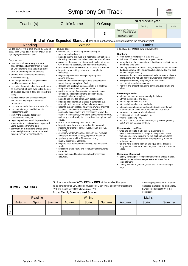| School Logo |  |
|-------------|--|
|-------------|--|

# Symphony On-Track

|                                                                                                                                                                                                                                                                                                                                                                                                                                                                                                                                                                                                                                                                                                                                                                                                                                                                                                                                                                                                                                                                                                                                                           |                                                                                                                                                                                                                                                                                                                                                                                                                                                                                                                                                                                                                                                                                                                                                                                                                                                                                                                                                                                                                                                                                                                                                                                                                                                                                                                                                                                                                                                                                                                                                                                                                                                                                                                                                                                                                                                                                                                                                                                                                 |                 |                                                                                                                                                                                                                                                                                                                                                                                                                                                                                                                                                                                                                                                                                                                                                                                                                                                                                                                                                                                                                                                                                                                                                                                                                                                                                                                                                                                                                                                                                                                                                                                                                                                                                                                                                                                                                                                                                                                                                                                                        | End of previous year |         |       |
|-----------------------------------------------------------------------------------------------------------------------------------------------------------------------------------------------------------------------------------------------------------------------------------------------------------------------------------------------------------------------------------------------------------------------------------------------------------------------------------------------------------------------------------------------------------------------------------------------------------------------------------------------------------------------------------------------------------------------------------------------------------------------------------------------------------------------------------------------------------------------------------------------------------------------------------------------------------------------------------------------------------------------------------------------------------------------------------------------------------------------------------------------------------|-----------------------------------------------------------------------------------------------------------------------------------------------------------------------------------------------------------------------------------------------------------------------------------------------------------------------------------------------------------------------------------------------------------------------------------------------------------------------------------------------------------------------------------------------------------------------------------------------------------------------------------------------------------------------------------------------------------------------------------------------------------------------------------------------------------------------------------------------------------------------------------------------------------------------------------------------------------------------------------------------------------------------------------------------------------------------------------------------------------------------------------------------------------------------------------------------------------------------------------------------------------------------------------------------------------------------------------------------------------------------------------------------------------------------------------------------------------------------------------------------------------------------------------------------------------------------------------------------------------------------------------------------------------------------------------------------------------------------------------------------------------------------------------------------------------------------------------------------------------------------------------------------------------------------------------------------------------------------------------------------------------------|-----------------|--------------------------------------------------------------------------------------------------------------------------------------------------------------------------------------------------------------------------------------------------------------------------------------------------------------------------------------------------------------------------------------------------------------------------------------------------------------------------------------------------------------------------------------------------------------------------------------------------------------------------------------------------------------------------------------------------------------------------------------------------------------------------------------------------------------------------------------------------------------------------------------------------------------------------------------------------------------------------------------------------------------------------------------------------------------------------------------------------------------------------------------------------------------------------------------------------------------------------------------------------------------------------------------------------------------------------------------------------------------------------------------------------------------------------------------------------------------------------------------------------------------------------------------------------------------------------------------------------------------------------------------------------------------------------------------------------------------------------------------------------------------------------------------------------------------------------------------------------------------------------------------------------------------------------------------------------------------------------------------------------------|----------------------|---------|-------|
| Teacher(s)                                                                                                                                                                                                                                                                                                                                                                                                                                                                                                                                                                                                                                                                                                                                                                                                                                                                                                                                                                                                                                                                                                                                                | <b>Child's Name</b>                                                                                                                                                                                                                                                                                                                                                                                                                                                                                                                                                                                                                                                                                                                                                                                                                                                                                                                                                                                                                                                                                                                                                                                                                                                                                                                                                                                                                                                                                                                                                                                                                                                                                                                                                                                                                                                                                                                                                                                             | <b>Yr Group</b> |                                                                                                                                                                                                                                                                                                                                                                                                                                                                                                                                                                                                                                                                                                                                                                                                                                                                                                                                                                                                                                                                                                                                                                                                                                                                                                                                                                                                                                                                                                                                                                                                                                                                                                                                                                                                                                                                                                                                                                                                        | Reading              | Writing | Maths |
|                                                                                                                                                                                                                                                                                                                                                                                                                                                                                                                                                                                                                                                                                                                                                                                                                                                                                                                                                                                                                                                                                                                                                           |                                                                                                                                                                                                                                                                                                                                                                                                                                                                                                                                                                                                                                                                                                                                                                                                                                                                                                                                                                                                                                                                                                                                                                                                                                                                                                                                                                                                                                                                                                                                                                                                                                                                                                                                                                                                                                                                                                                                                                                                                 | 3               | End of KS1 Outcome<br>WTS, EXS. GDS                                                                                                                                                                                                                                                                                                                                                                                                                                                                                                                                                                                                                                                                                                                                                                                                                                                                                                                                                                                                                                                                                                                                                                                                                                                                                                                                                                                                                                                                                                                                                                                                                                                                                                                                                                                                                                                                                                                                                                    |                      |         |       |
|                                                                                                                                                                                                                                                                                                                                                                                                                                                                                                                                                                                                                                                                                                                                                                                                                                                                                                                                                                                                                                                                                                                                                           |                                                                                                                                                                                                                                                                                                                                                                                                                                                                                                                                                                                                                                                                                                                                                                                                                                                                                                                                                                                                                                                                                                                                                                                                                                                                                                                                                                                                                                                                                                                                                                                                                                                                                                                                                                                                                                                                                                                                                                                                                 |                 | <b>Standardised Score</b>                                                                                                                                                                                                                                                                                                                                                                                                                                                                                                                                                                                                                                                                                                                                                                                                                                                                                                                                                                                                                                                                                                                                                                                                                                                                                                                                                                                                                                                                                                                                                                                                                                                                                                                                                                                                                                                                                                                                                                              |                      |         |       |
|                                                                                                                                                                                                                                                                                                                                                                                                                                                                                                                                                                                                                                                                                                                                                                                                                                                                                                                                                                                                                                                                                                                                                           | End of Year Expected Standard (the child must achieve all standards from the previous years)                                                                                                                                                                                                                                                                                                                                                                                                                                                                                                                                                                                                                                                                                                                                                                                                                                                                                                                                                                                                                                                                                                                                                                                                                                                                                                                                                                                                                                                                                                                                                                                                                                                                                                                                                                                                                                                                                                                    |                 |                                                                                                                                                                                                                                                                                                                                                                                                                                                                                                                                                                                                                                                                                                                                                                                                                                                                                                                                                                                                                                                                                                                                                                                                                                                                                                                                                                                                                                                                                                                                                                                                                                                                                                                                                                                                                                                                                                                                                                                                        |                      |         |       |
| Reading                                                                                                                                                                                                                                                                                                                                                                                                                                                                                                                                                                                                                                                                                                                                                                                                                                                                                                                                                                                                                                                                                                                                                   | Writing                                                                                                                                                                                                                                                                                                                                                                                                                                                                                                                                                                                                                                                                                                                                                                                                                                                                                                                                                                                                                                                                                                                                                                                                                                                                                                                                                                                                                                                                                                                                                                                                                                                                                                                                                                                                                                                                                                                                                                                                         |                 |                                                                                                                                                                                                                                                                                                                                                                                                                                                                                                                                                                                                                                                                                                                                                                                                                                                                                                                                                                                                                                                                                                                                                                                                                                                                                                                                                                                                                                                                                                                                                                                                                                                                                                                                                                                                                                                                                                                                                                                                        | <b>Maths</b>         |         |       |
| By the end of Y3 a child should be able to<br>justify their views about books written at an<br>age-appropriate interest level<br>The pupil can:<br>• read the book accurately and at a<br>speed that is sufficient for them to focus<br>on understanding what they read rather<br>than on decoding individual words.<br>• decode most new words outside the<br>spoken vocabulary;<br>• read longer words with support andtest<br>out different pronunciations;<br>• recognise themes in what they read, such<br>as the triumph of good over evil or the use<br>of magical devices in fairy stories and folk<br>tales;<br>• listen attentively and discuss booksand<br>authors that they might not choose<br>themselves;<br>• read, reread and rehearse a variety oftexts;<br>• use contents pages and indexes to<br>locate information<br>• identify the language features of<br>some different text types.<br>• begin to predict what will happenedand<br>why events and actions have happened<br>using evidence from the text<br>• comment on the author's choice of the<br>words and phrases to create mood and<br>build up tension or paint apicture. | The pupil can:<br>• demonstrate an increasing understanding of<br>purpose and audience.<br>• begin to use the structure of a wider range of text types<br>(including the use of simple layout devices innon-fiction).<br>proof-read their own and others' work to check forerrors<br>with increasing accuracy, and make improvements.<br>make deliberate ambitious word choices to adddetail.<br>• begin to create settings, characters and plot in<br>narratives.<br>begin to organise their writing into paragraphs<br>around a theme.<br>• maintain the correct tense (including present perfect<br>tense) throughout a piece of writing.<br>• Begin to use a relative clause correctly in a sentence<br>using who, whom, which, whose or that.<br>• use the full range of punctuation from previousyear<br>groups e.g. exclamation marks, question marks,<br>commas in a list, apostrophes.<br>• begin to use inverted commas in direct speech.<br>begin to use subordinate clauses in sentences e.g.<br>although, until, because, before, whereas, since<br>• begin to use conjunctions (finally, meanwhile, after that,<br>just then, later) adverbs (immediately, eventually,<br>constantly, occasionally) and prepositions (above the<br>clouds, in the distance, over there, somewhere near here,<br>under my bed, down by the ) to show time, place and<br>cause.<br>use 'a' or 'an' correctly most of the time.<br>begin to show how words are related in form and<br>$\bullet$<br>meaning ffor example, solve, solution, solver, dissolve,<br>insoluble]<br>• spell many words with prefixes correctly, e.g. irrelevant,<br>autograph, incorrect, disobey, superstar, antisocial.<br>• spell many words with suffixes correctly, e.g.<br>usually, poisonous, adoration.<br>begin to spell homophones correctly, e.g. whichand<br>witch.<br>spell some of the Year 3 and 4 statutory spellingwords<br>$\bullet$<br>correctly.<br>• use a neat, joined handwriting style with increasing<br>accuracy. |                 | In each area of Maths below, the pupil can:<br><b>Numbers</b><br>• count from 0 in multiples of 4, 8, 50 and 100;<br>• find 10 or 100 more or less than a given number<br>• recognise the place value of each digit in a three-digitnumber<br>(hundreds, tens, ones)<br>• count up and down in tenths, recognising that tenths arise from<br>dividing an object into 10 equal parts and in dividing one-digit<br>numbers or quantities by 10<br>• recognise, find and write fractions of a discrete set of objects:<br>unit fractions and non-unit fractions with small denominators<br>• recognise and show, using diagrams, equivalent<br>fractions with small denominators<br>• interpret and present data using bar charts, pictograms and<br>tables<br>Reasoning (+ and -)<br>• add and subtract numbers mentally, including:<br>• a three-digit number and ones<br>• a three-digit number and tens<br>• a three-digit number and hundreds<br>• add and subtract numbers with up to 3 digits, usingformal<br>written methods of columnar addition and subtraction<br>• measure, compare, add and subtract:<br>• lengths $(m / cm / mm)$ ; mass $(kg / g)$<br>• volume / capacity $(l / ml)$<br>• add and subtract amounts of money to give change, using<br>both £ and p in practical contexts<br>Reasoning $(x \div)$ and Time<br>• write and calculate mathematical statements for<br>multiplication and division using the multiplication tables<br>that students know, including for two-digit numbers times<br>one-digit numbers using mental andprogressing to formal<br>written methods<br>• tell and write the time from an analogue clock, including<br>using Roman numerals from I to XII, and 12-hour and 24-hour<br>clocks<br><b>Reasoning (Geometry)</b><br>• identify right angles, recognise that two right angles make a<br>half-turn, three make three quarters of a turnand four a<br>complete turn;<br>• identify whether angles are greater than or less than aright<br>angle |                      |         |       |

### **TERMLY TRACKING**

#### On track to achieve **WTS, EXS or GDS** at the end of the year

To be considered for GDS, children must securely achieve all end of yearexpectations (Yr3) and the majority of the following year (Yr4)

Actual Termly **Standardised Scores**

Secure fit judgements for EXS (at the expected standard) as long as they have secured at least 80%of the descriptors.

| Reading |        |        |        | Writing       |               |        | <b>Maths</b> |        |  |
|---------|--------|--------|--------|---------------|---------------|--------|--------------|--------|--|
| Autumn  | Spring | Summer | Autumn | <b>Spring</b> | <b>Summer</b> | Autumn | Spring       | Summer |  |
|         |        |        |        |               |               |        |              |        |  |
|         |        |        |        |               |               |        |              |        |  |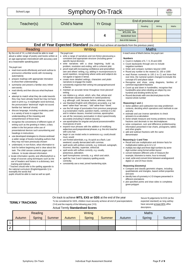| School Logo                                                                                                                                                                                                                                                                                                                                                                                                                                                                                                                                                                                                                                                                                                                                                                                                                                                                                                                                                                                                                                                                                                                                                                                                                                                                                                                                                                                                                                                                                                                                                                                                                                                                                                                                                                                                                                                                                 |  | <b>Symphony On-Track</b>                                                                                                                                                                                                                                                                                                                                                                                                                                                                                                                                                                                                                                                                                                                                                                                                                                                                                                                                                                                                                                                                                                                                                                                                                                                                                                                                                                                                                                                                                                                                                                                                                                                                                                                                                                                                                                                                                                                                                                                                                                                                                                                                                                                  |                 |                           |                                                                                                                                                                                                                                                                                                                                                                                                                                                                                                                                                                                                                                                                                                                                                                                                                                                                                                                                                                                                                                                                                                                                                                                                                                                            |                                                                                                                                                                                                                        |                                                                                                                                                                                                                                                                                                                                                                                                                                                                                                                                                            | $\overline{\cdots}$<br>Symphony<br>Teaching |
|---------------------------------------------------------------------------------------------------------------------------------------------------------------------------------------------------------------------------------------------------------------------------------------------------------------------------------------------------------------------------------------------------------------------------------------------------------------------------------------------------------------------------------------------------------------------------------------------------------------------------------------------------------------------------------------------------------------------------------------------------------------------------------------------------------------------------------------------------------------------------------------------------------------------------------------------------------------------------------------------------------------------------------------------------------------------------------------------------------------------------------------------------------------------------------------------------------------------------------------------------------------------------------------------------------------------------------------------------------------------------------------------------------------------------------------------------------------------------------------------------------------------------------------------------------------------------------------------------------------------------------------------------------------------------------------------------------------------------------------------------------------------------------------------------------------------------------------------------------------------------------------------|--|-----------------------------------------------------------------------------------------------------------------------------------------------------------------------------------------------------------------------------------------------------------------------------------------------------------------------------------------------------------------------------------------------------------------------------------------------------------------------------------------------------------------------------------------------------------------------------------------------------------------------------------------------------------------------------------------------------------------------------------------------------------------------------------------------------------------------------------------------------------------------------------------------------------------------------------------------------------------------------------------------------------------------------------------------------------------------------------------------------------------------------------------------------------------------------------------------------------------------------------------------------------------------------------------------------------------------------------------------------------------------------------------------------------------------------------------------------------------------------------------------------------------------------------------------------------------------------------------------------------------------------------------------------------------------------------------------------------------------------------------------------------------------------------------------------------------------------------------------------------------------------------------------------------------------------------------------------------------------------------------------------------------------------------------------------------------------------------------------------------------------------------------------------------------------------------------------------------|-----------------|---------------------------|------------------------------------------------------------------------------------------------------------------------------------------------------------------------------------------------------------------------------------------------------------------------------------------------------------------------------------------------------------------------------------------------------------------------------------------------------------------------------------------------------------------------------------------------------------------------------------------------------------------------------------------------------------------------------------------------------------------------------------------------------------------------------------------------------------------------------------------------------------------------------------------------------------------------------------------------------------------------------------------------------------------------------------------------------------------------------------------------------------------------------------------------------------------------------------------------------------------------------------------------------------|------------------------------------------------------------------------------------------------------------------------------------------------------------------------------------------------------------------------|------------------------------------------------------------------------------------------------------------------------------------------------------------------------------------------------------------------------------------------------------------------------------------------------------------------------------------------------------------------------------------------------------------------------------------------------------------------------------------------------------------------------------------------------------------|---------------------------------------------|
| Teacher(s)                                                                                                                                                                                                                                                                                                                                                                                                                                                                                                                                                                                                                                                                                                                                                                                                                                                                                                                                                                                                                                                                                                                                                                                                                                                                                                                                                                                                                                                                                                                                                                                                                                                                                                                                                                                                                                                                                  |  | <b>Child's Name</b>                                                                                                                                                                                                                                                                                                                                                                                                                                                                                                                                                                                                                                                                                                                                                                                                                                                                                                                                                                                                                                                                                                                                                                                                                                                                                                                                                                                                                                                                                                                                                                                                                                                                                                                                                                                                                                                                                                                                                                                                                                                                                                                                                                                       | <b>Yr Group</b> |                           |                                                                                                                                                                                                                                                                                                                                                                                                                                                                                                                                                                                                                                                                                                                                                                                                                                                                                                                                                                                                                                                                                                                                                                                                                                                            | End of previous year                                                                                                                                                                                                   |                                                                                                                                                                                                                                                                                                                                                                                                                                                                                                                                                            |                                             |
|                                                                                                                                                                                                                                                                                                                                                                                                                                                                                                                                                                                                                                                                                                                                                                                                                                                                                                                                                                                                                                                                                                                                                                                                                                                                                                                                                                                                                                                                                                                                                                                                                                                                                                                                                                                                                                                                                             |  |                                                                                                                                                                                                                                                                                                                                                                                                                                                                                                                                                                                                                                                                                                                                                                                                                                                                                                                                                                                                                                                                                                                                                                                                                                                                                                                                                                                                                                                                                                                                                                                                                                                                                                                                                                                                                                                                                                                                                                                                                                                                                                                                                                                                           |                 |                           |                                                                                                                                                                                                                                                                                                                                                                                                                                                                                                                                                                                                                                                                                                                                                                                                                                                                                                                                                                                                                                                                                                                                                                                                                                                            | Reading                                                                                                                                                                                                                | Writing                                                                                                                                                                                                                                                                                                                                                                                                                                                                                                                                                    | <b>Maths</b>                                |
|                                                                                                                                                                                                                                                                                                                                                                                                                                                                                                                                                                                                                                                                                                                                                                                                                                                                                                                                                                                                                                                                                                                                                                                                                                                                                                                                                                                                                                                                                                                                                                                                                                                                                                                                                                                                                                                                                             |  |                                                                                                                                                                                                                                                                                                                                                                                                                                                                                                                                                                                                                                                                                                                                                                                                                                                                                                                                                                                                                                                                                                                                                                                                                                                                                                                                                                                                                                                                                                                                                                                                                                                                                                                                                                                                                                                                                                                                                                                                                                                                                                                                                                                                           |                 |                           | <b>Teacher Assessment</b><br>WTS, EXS. GDS                                                                                                                                                                                                                                                                                                                                                                                                                                                                                                                                                                                                                                                                                                                                                                                                                                                                                                                                                                                                                                                                                                                                                                                                                 |                                                                                                                                                                                                                        |                                                                                                                                                                                                                                                                                                                                                                                                                                                                                                                                                            |                                             |
|                                                                                                                                                                                                                                                                                                                                                                                                                                                                                                                                                                                                                                                                                                                                                                                                                                                                                                                                                                                                                                                                                                                                                                                                                                                                                                                                                                                                                                                                                                                                                                                                                                                                                                                                                                                                                                                                                             |  |                                                                                                                                                                                                                                                                                                                                                                                                                                                                                                                                                                                                                                                                                                                                                                                                                                                                                                                                                                                                                                                                                                                                                                                                                                                                                                                                                                                                                                                                                                                                                                                                                                                                                                                                                                                                                                                                                                                                                                                                                                                                                                                                                                                                           | 4               | <b>Standardised Score</b> |                                                                                                                                                                                                                                                                                                                                                                                                                                                                                                                                                                                                                                                                                                                                                                                                                                                                                                                                                                                                                                                                                                                                                                                                                                                            |                                                                                                                                                                                                                        |                                                                                                                                                                                                                                                                                                                                                                                                                                                                                                                                                            |                                             |
|                                                                                                                                                                                                                                                                                                                                                                                                                                                                                                                                                                                                                                                                                                                                                                                                                                                                                                                                                                                                                                                                                                                                                                                                                                                                                                                                                                                                                                                                                                                                                                                                                                                                                                                                                                                                                                                                                             |  |                                                                                                                                                                                                                                                                                                                                                                                                                                                                                                                                                                                                                                                                                                                                                                                                                                                                                                                                                                                                                                                                                                                                                                                                                                                                                                                                                                                                                                                                                                                                                                                                                                                                                                                                                                                                                                                                                                                                                                                                                                                                                                                                                                                                           |                 |                           | <b>End of KS1 Outcome</b>                                                                                                                                                                                                                                                                                                                                                                                                                                                                                                                                                                                                                                                                                                                                                                                                                                                                                                                                                                                                                                                                                                                                                                                                                                  |                                                                                                                                                                                                                        |                                                                                                                                                                                                                                                                                                                                                                                                                                                                                                                                                            |                                             |
| Reading                                                                                                                                                                                                                                                                                                                                                                                                                                                                                                                                                                                                                                                                                                                                                                                                                                                                                                                                                                                                                                                                                                                                                                                                                                                                                                                                                                                                                                                                                                                                                                                                                                                                                                                                                                                                                                                                                     |  | End of Year Expected Standard (the child must achieve all standards from the previous years)<br>Writing                                                                                                                                                                                                                                                                                                                                                                                                                                                                                                                                                                                                                                                                                                                                                                                                                                                                                                                                                                                                                                                                                                                                                                                                                                                                                                                                                                                                                                                                                                                                                                                                                                                                                                                                                                                                                                                                                                                                                                                                                                                                                                   |                 |                           |                                                                                                                                                                                                                                                                                                                                                                                                                                                                                                                                                                                                                                                                                                                                                                                                                                                                                                                                                                                                                                                                                                                                                                                                                                                            | Maths                                                                                                                                                                                                                  |                                                                                                                                                                                                                                                                                                                                                                                                                                                                                                                                                            |                                             |
| By the end of Y4, a child should be able to read<br>aloud a wider range of poetry and books written at<br>an age-appropriate interestlevel with accuracy and<br>at a reasonable speaking pace<br>The pupil can:<br>• read most words effortlessly and work outhow to<br>pronounce unfamiliar words with increasing<br>automaticity:<br>prepare readings with appropriate intonation<br>to show their understanding;<br>summarise and present a familiar story intheir<br>own words:<br>read silently and then discuss what theyhave<br>read;<br>attempt to match what they de-code towords<br>they may have already heard but may not have<br>seen in print e.g. in readingthe word technical,<br>the pronunciation 'tetchnical' might not sound<br>familiar but 'teknical' should;<br>discuss language, including vocabulary, used<br>in a variety of texts to support the<br>understanding of the meaning and<br>comprehension of those texts<br>recognise the conventions of different types of<br>writing such as the greeting in letters, a diary<br>written in the first person orthe use of<br>presentational devices such asnumbering and<br>headings in instructions<br>use developed strategies to choose andread<br>a wider range of books including authors that<br>they may not have previously chosen<br>understand, in non-fiction, what information to<br>look for before beginning and is clear about the<br>task. The child canuse contents pages and<br>indexes to locate relevant information<br>• locate information quickly and effectivelyfrom a<br>range of sources using techniques such as the<br>use of headers and footers in a dictionary, text<br>marking and indexes<br>* Teachers should refer to the spelling appendix to<br>the national curriculum (EnglishAppendix 1) to<br>exemplify the words that<br>pupils should be able to read as well as spell. |  | The pupil can:<br>• write a range of narratives and non-fiction piecesusing a<br>consistent and appropriate structure (including genre-<br>specific layout devices).<br>• write narratives with a clear beginning, build up,<br>problem, resolution and ending, with a coherent plot.<br>proof read with increasing confidence and amendtheir<br>$\bullet$<br>own and others' writing, e.g. adding in nouns/pronouns to<br>avoid repetition, recognising where verbs and subjects do<br>not agree or lapses in tense.<br>• create more detailed settings, characters and plotin<br>narratives to engage the reader.<br>consistently organise their writing into paragraphsaround<br>a theme.<br>maintain an accurate tense throughout most piecesof<br>$\bullet$<br>writing.<br>• use relative e.g. whom, which, who, that, whose and<br>subordinate clauses (sometimes in varied positions)<br>e.g. although, until, because, before, whereas, since<br>• use Standard English verb inflections accurately, e.g. we<br>were' rather than 'we was', 'I did' rather than 'I done'.<br>• use the full range of punctuation from previous yeargroups<br>e.g exclamation marks, question marks, commas in a list<br>and in relative clauses, inverted commas, apostrophes<br>use all the necessary punctuation in direct speechmostly<br>$\bullet$<br>accurately (including in relative clauses).<br>• use apostrophes for singular and plural possession within<br>most pieces of work.<br>• expand noun phrases with the addition of modifying<br>adjectives and prepositional phrases, e.g. the strict teacher<br>with curly hair.<br>• begin to use modal verbs in sentences e.g. could, should<br>must, would<br>use fronted adverbials, e.g. As quick as a flash, Last<br>weekend; usually demarcated with commas.<br>• spell words with prefixes correctly, e.g. irrelevant, autograph,<br>incorrect, disobey, superstar, antisocial.<br>• spell words with suffixes correctly, e.g. usually,<br>poisonous, adoration.<br>• spell homophones correctly, e.g. which and witch.<br>spell the Year 3 and 4 statutory spelling words<br>correctly.<br>• consistently use a neat, joined handwriting style. |                 |                           | In each area of Maths below, the pupil can:<br><b>Numbers</b><br>• Count in multiples of 6, 7, 9, 25 and 1000<br>• Count backwards through zero to include<br>negative numbers<br>• Order and compare numbers beyond 1000<br>• read Roman numerals to 100 (I to C) and know that<br>• Recognise and show, using diagrams, families of<br>• Count up and down in hundredths; recognise that<br>• Round decimals with one decimal place to the<br>nearest whole number<br>Reasoning (+ and -)<br>• Solve addition and subtraction two-step problemsin<br>and why<br>• estimate and use inverse operations to check<br>answers to a calculation<br>• solve comparison, sum and difference problemsusing<br>and other graphs<br>• add and subtract fractions with the same<br>denominator<br>Reasoning $(x \div)$ and Time<br>• Recall and use multiplication and division facts for<br>• convert between different units of measure [for<br>• read, write and convert time between analogueand<br><b>Reasoning (Geometry)</b><br>• Compare and classify geometric shapes, including<br>and sizes<br>• Identify lines of symmetry in 2-D shapes presented in<br>different orientations<br>• plot specified points and draw sides to completea<br>given polygon | concept of 0 and place value<br>common equivalent fractions<br>hundred and dividing tenths by ten<br>multiplication tables up to 12 x 12<br>digit number using formal written layout<br>digital 12- and 24-hour clocks | • Round any number to the nearest 10, 100 or 1000<br>over time, the numeral system changed to include the<br>hundredths arise when dividing an object by one<br>contexts, deciding which operations and methods to use<br>• Solve simple measure and money problems involving<br>fractions and decimals to two decimalplaces<br>information presented in bar charts, pictograms, tables<br>• multiply two-digit and three-digit numbers by aone-<br>example, kilometre to metre, hour to minute]<br>quadrilaterals and triangles, based ontheir properties |                                             |
| <b>TERMLY TRACKING</b>                                                                                                                                                                                                                                                                                                                                                                                                                                                                                                                                                                                                                                                                                                                                                                                                                                                                                                                                                                                                                                                                                                                                                                                                                                                                                                                                                                                                                                                                                                                                                                                                                                                                                                                                                                                                                                                                      |  | On track to achieve <b>WTS, EXS or GDS</b> at the end of the year<br>To be considered for GDS, children must securely achieve all end of yearexpectations<br>(Yr4) and the majority of the following year (Yr5)<br><b>Actual Termly Standardised Scores</b>                                                                                                                                                                                                                                                                                                                                                                                                                                                                                                                                                                                                                                                                                                                                                                                                                                                                                                                                                                                                                                                                                                                                                                                                                                                                                                                                                                                                                                                                                                                                                                                                                                                                                                                                                                                                                                                                                                                                               |                 |                           |                                                                                                                                                                                                                                                                                                                                                                                                                                                                                                                                                                                                                                                                                                                                                                                                                                                                                                                                                                                                                                                                                                                                                                                                                                                            | descriptors.                                                                                                                                                                                                           | Secure fit judgements for EXS (at the<br>expected standard) as long asthey<br>have secured at least 80% of the                                                                                                                                                                                                                                                                                                                                                                                                                                             |                                             |
| Reading                                                                                                                                                                                                                                                                                                                                                                                                                                                                                                                                                                                                                                                                                                                                                                                                                                                                                                                                                                                                                                                                                                                                                                                                                                                                                                                                                                                                                                                                                                                                                                                                                                                                                                                                                                                                                                                                                     |  | Writing                                                                                                                                                                                                                                                                                                                                                                                                                                                                                                                                                                                                                                                                                                                                                                                                                                                                                                                                                                                                                                                                                                                                                                                                                                                                                                                                                                                                                                                                                                                                                                                                                                                                                                                                                                                                                                                                                                                                                                                                                                                                                                                                                                                                   |                 |                           |                                                                                                                                                                                                                                                                                                                                                                                                                                                                                                                                                                                                                                                                                                                                                                                                                                                                                                                                                                                                                                                                                                                                                                                                                                                            | <b>Maths</b>                                                                                                                                                                                                           |                                                                                                                                                                                                                                                                                                                                                                                                                                                                                                                                                            |                                             |

|   | Reading       |        |        | Writing |               |               | <b>Maths</b> |        |        |  |
|---|---------------|--------|--------|---------|---------------|---------------|--------------|--------|--------|--|
|   | <b>Autumn</b> | Spring | Summer | Autumn  | <b>Spring</b> | <b>Summer</b> | Autumn       | Spring | Summer |  |
|   |               |        |        |         |               |               |              |        |        |  |
| ົ |               |        |        |         |               |               |              |        |        |  |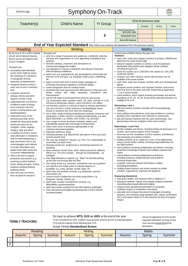# School Logo Symphony On-Track

| Teacher(s)                                                                                                                                                                                                                                                                                                                                                                                                                                                                                                                                                                                                                                                                                                                                                                                                                                                                                                                                                                                                                                                                                                                                                                                                                                                                                                    | <b>Child's Name</b>                                                                          |                                                                                                                                                                                                                                                                                                                                                                                                                                                                                                                                                                                                                                                                                                                                                                                                                                                                                                                                                                                                                                                                                                                                                                                                                                                                                                                                                                                                                                                                                                                                                                                                                                                                                                                                                                                                                                                                                                                                                                                                                                                                                                                                                                                                                                                                                                                                                                                                                                                                                                                                                                                                                                                                                                                                                                                                                                                                                      | <b>Yr Group</b> |                                                                                                                                                                                                                                                                                                                                                                                                                                                                                                                                                                                                                                                                                                                                                                                                                                                                                                                                                                                                                                                                                                                                                                                                                                                                                                                                                                                                                                                                                                                                                                                                                                                                                                                                                                                                                                                                                                                                                                                                                                                                                                                                                                                                                                                                                                                                                                                                                                                                                                                                                                                                                                                                                                                                      | End of previous year                  |         |       |
|---------------------------------------------------------------------------------------------------------------------------------------------------------------------------------------------------------------------------------------------------------------------------------------------------------------------------------------------------------------------------------------------------------------------------------------------------------------------------------------------------------------------------------------------------------------------------------------------------------------------------------------------------------------------------------------------------------------------------------------------------------------------------------------------------------------------------------------------------------------------------------------------------------------------------------------------------------------------------------------------------------------------------------------------------------------------------------------------------------------------------------------------------------------------------------------------------------------------------------------------------------------------------------------------------------------|----------------------------------------------------------------------------------------------|--------------------------------------------------------------------------------------------------------------------------------------------------------------------------------------------------------------------------------------------------------------------------------------------------------------------------------------------------------------------------------------------------------------------------------------------------------------------------------------------------------------------------------------------------------------------------------------------------------------------------------------------------------------------------------------------------------------------------------------------------------------------------------------------------------------------------------------------------------------------------------------------------------------------------------------------------------------------------------------------------------------------------------------------------------------------------------------------------------------------------------------------------------------------------------------------------------------------------------------------------------------------------------------------------------------------------------------------------------------------------------------------------------------------------------------------------------------------------------------------------------------------------------------------------------------------------------------------------------------------------------------------------------------------------------------------------------------------------------------------------------------------------------------------------------------------------------------------------------------------------------------------------------------------------------------------------------------------------------------------------------------------------------------------------------------------------------------------------------------------------------------------------------------------------------------------------------------------------------------------------------------------------------------------------------------------------------------------------------------------------------------------------------------------------------------------------------------------------------------------------------------------------------------------------------------------------------------------------------------------------------------------------------------------------------------------------------------------------------------------------------------------------------------------------------------------------------------------------------------------------------------|-----------------|--------------------------------------------------------------------------------------------------------------------------------------------------------------------------------------------------------------------------------------------------------------------------------------------------------------------------------------------------------------------------------------------------------------------------------------------------------------------------------------------------------------------------------------------------------------------------------------------------------------------------------------------------------------------------------------------------------------------------------------------------------------------------------------------------------------------------------------------------------------------------------------------------------------------------------------------------------------------------------------------------------------------------------------------------------------------------------------------------------------------------------------------------------------------------------------------------------------------------------------------------------------------------------------------------------------------------------------------------------------------------------------------------------------------------------------------------------------------------------------------------------------------------------------------------------------------------------------------------------------------------------------------------------------------------------------------------------------------------------------------------------------------------------------------------------------------------------------------------------------------------------------------------------------------------------------------------------------------------------------------------------------------------------------------------------------------------------------------------------------------------------------------------------------------------------------------------------------------------------------------------------------------------------------------------------------------------------------------------------------------------------------------------------------------------------------------------------------------------------------------------------------------------------------------------------------------------------------------------------------------------------------------------------------------------------------------------------------------------------------|---------------------------------------|---------|-------|
|                                                                                                                                                                                                                                                                                                                                                                                                                                                                                                                                                                                                                                                                                                                                                                                                                                                                                                                                                                                                                                                                                                                                                                                                                                                                                                               |                                                                                              |                                                                                                                                                                                                                                                                                                                                                                                                                                                                                                                                                                                                                                                                                                                                                                                                                                                                                                                                                                                                                                                                                                                                                                                                                                                                                                                                                                                                                                                                                                                                                                                                                                                                                                                                                                                                                                                                                                                                                                                                                                                                                                                                                                                                                                                                                                                                                                                                                                                                                                                                                                                                                                                                                                                                                                                                                                                                                      |                 |                                                                                                                                                                                                                                                                                                                                                                                                                                                                                                                                                                                                                                                                                                                                                                                                                                                                                                                                                                                                                                                                                                                                                                                                                                                                                                                                                                                                                                                                                                                                                                                                                                                                                                                                                                                                                                                                                                                                                                                                                                                                                                                                                                                                                                                                                                                                                                                                                                                                                                                                                                                                                                                                                                                                      | Reading                               | Writing | Maths |
|                                                                                                                                                                                                                                                                                                                                                                                                                                                                                                                                                                                                                                                                                                                                                                                                                                                                                                                                                                                                                                                                                                                                                                                                                                                                                                               |                                                                                              |                                                                                                                                                                                                                                                                                                                                                                                                                                                                                                                                                                                                                                                                                                                                                                                                                                                                                                                                                                                                                                                                                                                                                                                                                                                                                                                                                                                                                                                                                                                                                                                                                                                                                                                                                                                                                                                                                                                                                                                                                                                                                                                                                                                                                                                                                                                                                                                                                                                                                                                                                                                                                                                                                                                                                                                                                                                                                      |                 | <b>Teacher Assessment</b><br>WTS, EXS. GDS                                                                                                                                                                                                                                                                                                                                                                                                                                                                                                                                                                                                                                                                                                                                                                                                                                                                                                                                                                                                                                                                                                                                                                                                                                                                                                                                                                                                                                                                                                                                                                                                                                                                                                                                                                                                                                                                                                                                                                                                                                                                                                                                                                                                                                                                                                                                                                                                                                                                                                                                                                                                                                                                                           |                                       |         |       |
|                                                                                                                                                                                                                                                                                                                                                                                                                                                                                                                                                                                                                                                                                                                                                                                                                                                                                                                                                                                                                                                                                                                                                                                                                                                                                                               |                                                                                              |                                                                                                                                                                                                                                                                                                                                                                                                                                                                                                                                                                                                                                                                                                                                                                                                                                                                                                                                                                                                                                                                                                                                                                                                                                                                                                                                                                                                                                                                                                                                                                                                                                                                                                                                                                                                                                                                                                                                                                                                                                                                                                                                                                                                                                                                                                                                                                                                                                                                                                                                                                                                                                                                                                                                                                                                                                                                                      | 5               | <b>Standardised Score</b>                                                                                                                                                                                                                                                                                                                                                                                                                                                                                                                                                                                                                                                                                                                                                                                                                                                                                                                                                                                                                                                                                                                                                                                                                                                                                                                                                                                                                                                                                                                                                                                                                                                                                                                                                                                                                                                                                                                                                                                                                                                                                                                                                                                                                                                                                                                                                                                                                                                                                                                                                                                                                                                                                                            |                                       |         |       |
|                                                                                                                                                                                                                                                                                                                                                                                                                                                                                                                                                                                                                                                                                                                                                                                                                                                                                                                                                                                                                                                                                                                                                                                                                                                                                                               |                                                                                              |                                                                                                                                                                                                                                                                                                                                                                                                                                                                                                                                                                                                                                                                                                                                                                                                                                                                                                                                                                                                                                                                                                                                                                                                                                                                                                                                                                                                                                                                                                                                                                                                                                                                                                                                                                                                                                                                                                                                                                                                                                                                                                                                                                                                                                                                                                                                                                                                                                                                                                                                                                                                                                                                                                                                                                                                                                                                                      |                 | <b>End of KS1 Outcome</b>                                                                                                                                                                                                                                                                                                                                                                                                                                                                                                                                                                                                                                                                                                                                                                                                                                                                                                                                                                                                                                                                                                                                                                                                                                                                                                                                                                                                                                                                                                                                                                                                                                                                                                                                                                                                                                                                                                                                                                                                                                                                                                                                                                                                                                                                                                                                                                                                                                                                                                                                                                                                                                                                                                            |                                       |         |       |
|                                                                                                                                                                                                                                                                                                                                                                                                                                                                                                                                                                                                                                                                                                                                                                                                                                                                                                                                                                                                                                                                                                                                                                                                                                                                                                               | End of Year Expected Standard (the child must achieve all standards from the previous years) |                                                                                                                                                                                                                                                                                                                                                                                                                                                                                                                                                                                                                                                                                                                                                                                                                                                                                                                                                                                                                                                                                                                                                                                                                                                                                                                                                                                                                                                                                                                                                                                                                                                                                                                                                                                                                                                                                                                                                                                                                                                                                                                                                                                                                                                                                                                                                                                                                                                                                                                                                                                                                                                                                                                                                                                                                                                                                      |                 |                                                                                                                                                                                                                                                                                                                                                                                                                                                                                                                                                                                                                                                                                                                                                                                                                                                                                                                                                                                                                                                                                                                                                                                                                                                                                                                                                                                                                                                                                                                                                                                                                                                                                                                                                                                                                                                                                                                                                                                                                                                                                                                                                                                                                                                                                                                                                                                                                                                                                                                                                                                                                                                                                                                                      |                                       |         |       |
| Reading                                                                                                                                                                                                                                                                                                                                                                                                                                                                                                                                                                                                                                                                                                                                                                                                                                                                                                                                                                                                                                                                                                                                                                                                                                                                                                       |                                                                                              | Writing                                                                                                                                                                                                                                                                                                                                                                                                                                                                                                                                                                                                                                                                                                                                                                                                                                                                                                                                                                                                                                                                                                                                                                                                                                                                                                                                                                                                                                                                                                                                                                                                                                                                                                                                                                                                                                                                                                                                                                                                                                                                                                                                                                                                                                                                                                                                                                                                                                                                                                                                                                                                                                                                                                                                                                                                                                                                              |                 | <b>Maths</b>                                                                                                                                                                                                                                                                                                                                                                                                                                                                                                                                                                                                                                                                                                                                                                                                                                                                                                                                                                                                                                                                                                                                                                                                                                                                                                                                                                                                                                                                                                                                                                                                                                                                                                                                                                                                                                                                                                                                                                                                                                                                                                                                                                                                                                                                                                                                                                                                                                                                                                                                                                                                                                                                                                                         |                                       |         |       |
| By the end of Y5 a child's reading<br>should demonstrateincreasing<br>fluency across all subjects and<br>not just in English<br>The pupil can:<br>• accurately read individual<br>words which might be keyto<br>the meaning of a sentence<br>or paragraph thereby<br>improving comprehension;<br>• recognise themes in what is<br>read, such as loss or heroism;<br>and<br>• compare characters,<br>settings, themes and other<br>aspects of what is read.<br>• understand the conventions<br>of different types of writing<br>such as theuse of the first<br>person in writing diaries and<br>autobiographies.<br>• understand some of the<br>technical and other terms<br>needed for discussing whatis<br>heard and read such as<br>metaphor, simile, analogy,<br>imagery, style and effect.<br>• In reading non-fiction, knows<br>what information is needed to<br>look for beforebeginning a<br>task and knows how to use<br>contentspages and indexes<br>to locate information and<br>applies these skills across the<br>curriculum independently<br>• refer to the text to support<br>predictions and opinion (e.g.<br>summing up what hasbeen<br>found, stating thoughts, finding<br>evidence, clarifying thinking,<br>justifying views)<br>• skim and scan non-fiction<br>texts at speed for research | The pupil can:<br>purpose.<br>etc.<br>meaning.<br>midnight                                   | • write for a range of purposes and audiences, confidently selecting<br>structure and organisation of a text depending onaudience and<br>• describe settings, characters and atmosphere to<br>consciously engage the reader.<br>• use dialogue to convey a character and advance theaction<br>with increasing confidence.<br>• select and use organisational and presentational devicesthat are<br>relevant to the text type, e.g. headings, bullet points, underlining,<br>• begin to proof-read work to précis longer passages by<br>removing unnecessary repetition or irrelevant details.<br>• create paragraphs that are suitably linked.<br>proofread their work and assess the effectiveness of theirown and<br>others' writing and make necessary corrections<br>improvements.<br>• use the full range of punctuation from previous year groups<br>e.g. exclamation marks, question marks, full stops, commas in a list,<br>commas to demarcate clauses, colons introduce a list, ellipsis.<br>• use brackets, dashes or commas to begin to indicate parenthesis<br>and use commas to clarify meaning or avoidambiguity (word,<br>phrase or sentence has more than one meaning)<br>• use a wider range of linking words/phrases between sentences and<br>paragraphs to build cohesion including timeadverbials, e.g. later;<br>place adverbials, e.g. nearby; and number, e.g. secondly.<br>• use a range of clause structures including, relative and<br>subordinate clauses with a full range of conjunctions.<br>• select most nouns or pronouns appropriately to aid<br>cohesion and avoid repetition.<br>• elaborate sentences using:<br>• Adverbial phrases; e.g. Beyond the dark gloom of the cave, Zach<br>saw the wizard move.<br>• 'Ed' and 'ing' dropped-in clauses e.g. Poor Tim, exhaustedby so<br>much effort, ran back home.<br>• Reshape sentences-lengthening or shortening sentences for<br>• Move sentence chunks (how, when, where) around for different<br>effects e.g. The siren echoed through the lonelystreets at<br>Use stage directions in speech e.g. "Stop!" he shouted, picking<br>up the stick and running after the thief.<br>• Use empty words e.g. someone, somewhere was out to gethim!<br>• use adverbs and modal verbs to indicate degrees of<br>possibility, e.g. surely, perhaps, should, might, etc.<br>• spell many verb prefixes correctly, e.g. deactivate, overturn,<br>misconduct, etc.<br>• convert nouns or adjectives into verbs using suffixes, e.g.<br>designate, classify, criticise, etc.<br>• spell many complex homophones correctly, e.g.<br>affect/effect, practice/practise.<br>• spell many words correctly from the Y5/6 statutory spellinglist.<br>• write with joined and legible handwriting that is fluent and with<br>increasing speed.<br>On track to achieve <b>WTS, EXS or GDS</b> at the end of the year | and             | In each area of Maths below, the pupil can:<br><b>Numbers</b><br>• read, write, order and compare numbers to at least 1 000000 and<br>determine the value of each digit<br>• interpret negative numbers in context, count forwards and<br>backwards with positive and negative whole numbers<br>including through zero<br>• round any number up to 1,000,000 to the nearest 10, 100,1,000,<br>10,000 and 100,000<br>• compare and order fractions whose denominators are all<br>multiples of the same number<br>• read, write, order and compare numbers with up to threedecimal<br>places<br>• recognise mixed numbers and improper fractions andconvert<br>from one form to the other and write mathematical statements<br>> 1 as a mixed number<br>• solve problems which require knowing percentage and decimal<br>equivalents of $1/2$ , $1/4$ , $1/5$ , $2/5$ , $4/5$ and those witha denominator of a<br>multiple of 10 or 25<br>Reasoning (+ and -)<br>• add and subtract numbers mentally with increasinglylarge<br>numbers<br>• solve addition and subtraction multi-step problems in contexts,<br>deciding which operations and methods to useand why<br>• add and subtract fractions with the same denominator, and<br>denominators that are multiples of the same number<br>Reasoning $(x \div)$ and Time<br>• identify multiples and factors, including finding all factorpairs of a<br>number, and common factors of two numbers<br>• know and use the vocabulary of prime numbers, primefactors<br>and composite (non-prime) numbers<br>• multiply numbers up to 4 digits by a one- or two-digitnumber<br>using a formal written method, including longmultiplication for<br>two-digit numbers<br>• solve problems involving multiplication and division including<br>using their knowledge of factors and multiples, squares and<br>cubes<br>• solve problems involving multiplication and division,<br>including scaling by simple fractions and problems<br>involving simple rates<br>• complete, read and interpret information in tables<br>(including timetables)<br>• multiply proper fractions and mixed numbers by whole<br>numbers, supported by materials and diagrams<br><b>Reasoning (Geometry)</b><br>• draw given angles, and measure them in degrees (°)<br>• distinguish between regular and irregular polygons basedon<br>reasoning about equal sides and angles<br>• measure and calculate the perimeter of composite<br>rectilinear shapes in centimetres and metres<br>• calculate and compare the area of rectangles (including<br>squares), and including using standard units, square centimetres<br>$\rm (cm^2)$ and square metres $\rm (m^2)$ and estimate the area of irregular<br>shapes | Secure fit judgements for EXS (at the |         |       |

have secured at least 80%of the descriptors.

#### (Yr5) and the majority of the following year (Yr6) Actual Termly **Standardised Scores**

| $1.000001 + 0.11111$ , with the case would be a second to the contract of $\sim$ |         |        |               |        |        |              |        |        |  |  |  |
|----------------------------------------------------------------------------------|---------|--------|---------------|--------|--------|--------------|--------|--------|--|--|--|
|                                                                                  | Reading |        | Writing       |        |        | <b>Maths</b> |        |        |  |  |  |
| Autumn                                                                           | Spring  | Summer | <b>Autumn</b> | Spring | Summer | Autumn       | Spring | Summer |  |  |  |
|                                                                                  |         |        |               |        |        |              |        |        |  |  |  |
|                                                                                  |         |        |               |        |        |              |        |        |  |  |  |